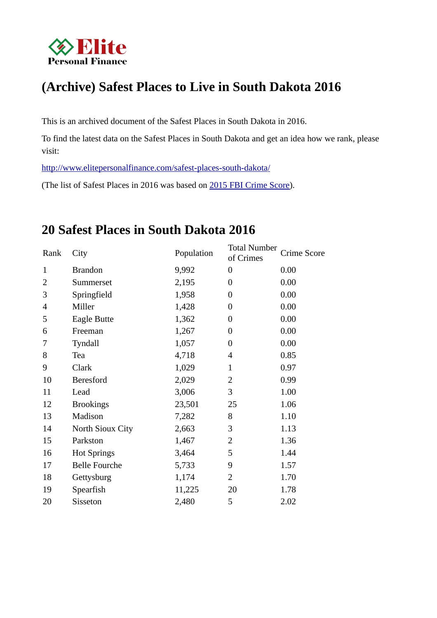

# **(Archive) Safest Places to Live in South Dakota 2016**

This is an archived document of the Safest Places in South Dakota in 2016.

To find the latest data on the Safest Places in South Dakota and get an idea how we rank, please visit:

 [http://www.elitepersonalfinance.com/safest-places- south-dakota/](http://www.elitepersonalfinance.com/safest-places-south-dakota/)

(The list of Safest Places in 2016 was based on [2015 FBI Crime Score\)](https://ucr.fbi.gov/crime-in-the-u.s/2015/crime-in-the-u.s.-2015/resource-pages/aboutcius_final).

# **20 Safest Places in South Dakota 2016**

| Rank         | City                 | Population | <b>Total Number</b><br>of Crimes | Crime Score |
|--------------|----------------------|------------|----------------------------------|-------------|
| $\mathbf{1}$ | <b>Brandon</b>       | 9,992      | $\overline{0}$                   | 0.00        |
| 2            | Summerset            | 2,195      | 0                                | 0.00        |
| 3            | Springfield          | 1,958      | $\boldsymbol{0}$                 | 0.00        |
| 4            | Miller               | 1,428      | $\boldsymbol{0}$                 | 0.00        |
| 5            | <b>Eagle Butte</b>   | 1,362      | $\boldsymbol{0}$                 | 0.00        |
| 6            | Freeman              | 1,267      | $\overline{0}$                   | 0.00        |
| 7            | Tyndall              | 1,057      | $\boldsymbol{0}$                 | 0.00        |
| 8            | Tea                  | 4,718      | $\overline{4}$                   | 0.85        |
| 9            | Clark                | 1,029      | $\mathbf{1}$                     | 0.97        |
| 10           | <b>Beresford</b>     | 2,029      | 2                                | 0.99        |
| 11           | Lead                 | 3,006      | 3                                | 1.00        |
| 12           | <b>Brookings</b>     | 23,501     | 25                               | 1.06        |
| 13           | Madison              | 7,282      | 8                                | 1.10        |
| 14           | North Sioux City     | 2,663      | 3                                | 1.13        |
| 15           | Parkston             | 1,467      | 2                                | 1.36        |
| 16           | <b>Hot Springs</b>   | 3,464      | 5                                | 1.44        |
| 17           | <b>Belle Fourche</b> | 5,733      | 9                                | 1.57        |
| 18           | Gettysburg           | 1,174      | 2                                | 1.70        |
| 19           | Spearfish            | 11,225     | 20                               | 1.78        |
| 20           | Sisseton             | 2,480      | 5                                | 2.02        |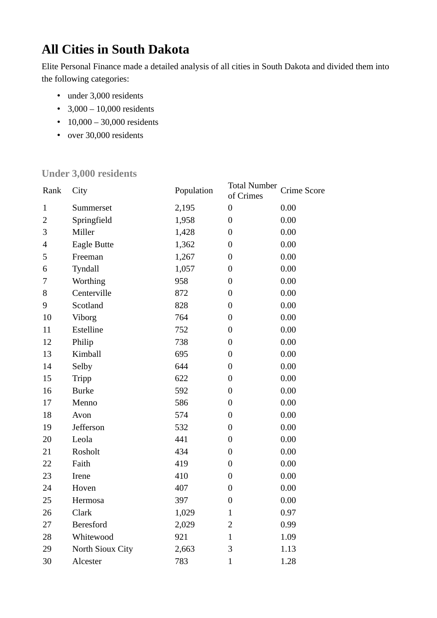# **All Cities in South Dakota**

Elite Personal Finance made a detailed analysis of all cities in South Dakota and divided them into the following categories:

- under 3,000 residents
- $3,000 10,000$  residents
- 10,000 30,000 residents
- over 30,000 residents

#### **Under 3,000 residents**

| Rank                     | City               | Population | <b>Total Number</b><br>of Crimes | Crime Score |
|--------------------------|--------------------|------------|----------------------------------|-------------|
| $\mathbf{1}$             | Summerset          | 2,195      | $\boldsymbol{0}$                 | 0.00        |
| $\overline{2}$           | Springfield        | 1,958      | $\boldsymbol{0}$                 | 0.00        |
| 3                        | Miller             | 1,428      | $\boldsymbol{0}$                 | 0.00        |
| $\overline{\mathcal{L}}$ | <b>Eagle Butte</b> | 1,362      | $\overline{0}$                   | 0.00        |
| 5                        | Freeman            | 1,267      | $\boldsymbol{0}$                 | 0.00        |
| 6                        | Tyndall            | 1,057      | $\boldsymbol{0}$                 | 0.00        |
| 7                        | Worthing           | 958        | $\boldsymbol{0}$                 | 0.00        |
| 8                        | Centerville        | 872        | $\mathbf{0}$                     | 0.00        |
| 9                        | Scotland           | 828        | $\boldsymbol{0}$                 | 0.00        |
| 10                       | Viborg             | 764        | $\boldsymbol{0}$                 | 0.00        |
| 11                       | <b>Estelline</b>   | 752        | $\boldsymbol{0}$                 | 0.00        |
| 12                       | Philip             | 738        | $\overline{0}$                   | 0.00        |
| 13                       | Kimball            | 695        | $\boldsymbol{0}$                 | 0.00        |
| 14                       | Selby              | 644        | $\boldsymbol{0}$                 | 0.00        |
| 15                       | <b>Tripp</b>       | 622        | $\boldsymbol{0}$                 | 0.00        |
| 16                       | <b>Burke</b>       | 592        | $\overline{0}$                   | 0.00        |
| 17                       | Menno              | 586        | $\boldsymbol{0}$                 | 0.00        |
| 18                       | Avon               | 574        | $\boldsymbol{0}$                 | 0.00        |
| 19                       | Jefferson          | 532        | $\boldsymbol{0}$                 | 0.00        |
| 20                       | Leola              | 441        | $\overline{0}$                   | 0.00        |
| 21                       | Rosholt            | 434        | $\boldsymbol{0}$                 | 0.00        |
| 22                       | Faith              | 419        | $\boldsymbol{0}$                 | 0.00        |
| 23                       | Irene              | 410        | $\boldsymbol{0}$                 | 0.00        |
| 24                       | Hoven              | 407        | $\overline{0}$                   | 0.00        |
| 25                       | Hermosa            | 397        | $\boldsymbol{0}$                 | 0.00        |
| 26                       | <b>Clark</b>       | 1,029      | $\mathbf{1}$                     | 0.97        |
| 27                       | <b>Beresford</b>   | 2,029      | $\overline{2}$                   | 0.99        |
| 28                       | Whitewood          | 921        | $\mathbf{1}$                     | 1.09        |
| 29                       | North Sioux City   | 2,663      | 3                                | 1.13        |
| 30                       | Alcester           | 783        | $\overline{1}$                   | 1.28        |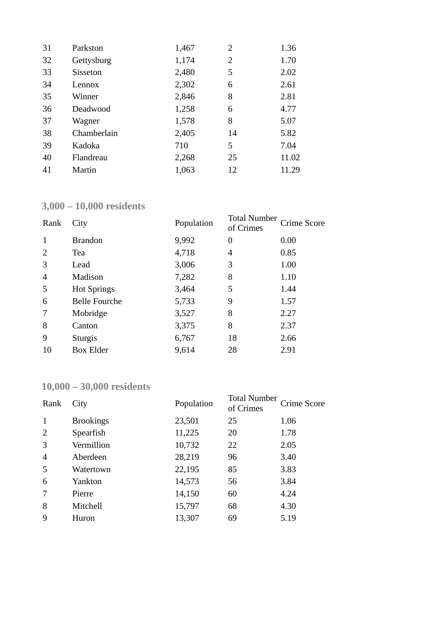| 31 | Parkston        | 1,467 | 2  | 1.36  |
|----|-----------------|-------|----|-------|
| 32 | Gettysburg      | 1,174 | 2  | 1.70  |
| 33 | <b>Sisseton</b> | 2,480 | 5  | 2.02  |
| 34 | Lennox          | 2,302 | 6  | 2.61  |
| 35 | Winner          | 2,846 | 8  | 2.81  |
| 36 | Deadwood        | 1,258 | 6  | 4.77  |
| 37 | Wagner          | 1,578 | 8  | 5.07  |
| 38 | Chamberlain     | 2,405 | 14 | 5.82  |
| 39 | Kadoka          | 710   | 5  | 7.04  |
| 40 | Flandreau       | 2,268 | 25 | 11.02 |
| 41 | Martin          | 1,063 | 12 | 11.29 |

### **3,000 – 10,000 residents**

| Rank | City                 | Population | <b>Total Number</b><br>of Crimes | Crime Score |
|------|----------------------|------------|----------------------------------|-------------|
| 1    | <b>Brandon</b>       | 9,992      | $\overline{0}$                   | 0.00        |
| 2    | Tea                  | 4,718      | 4                                | 0.85        |
| 3    | Lead                 | 3,006      | 3                                | 1.00        |
| 4    | Madison              | 7,282      | 8                                | 1.10        |
| 5    | <b>Hot Springs</b>   | 3,464      | 5                                | 1.44        |
| 6    | <b>Belle Fourche</b> | 5,733      | 9                                | 1.57        |
| 7    | Mobridge             | 3,527      | 8                                | 2.27        |
| 8    | Canton               | 3,375      | 8                                | 2.37        |
| 9    | <b>Sturgis</b>       | 6,767      | 18                               | 2.66        |
| 10   | <b>Box Elder</b>     | 9,614      | 28                               | 2.91        |

# **10,000 – 30,000 residents**

| Rank           | City             | Population | <b>Total Number</b><br>of Crimes | Crime Score |
|----------------|------------------|------------|----------------------------------|-------------|
| 1              | <b>Brookings</b> | 23,501     | 25                               | 1.06        |
| 2              | Spearfish        | 11,225     | 20                               | 1.78        |
| 3              | Vermillion       | 10,732     | 22                               | 2.05        |
| $\overline{4}$ | Aberdeen         | 28,219     | 96                               | 3.40        |
| 5              | Watertown        | 22,195     | 85                               | 3.83        |
| 6              | Yankton          | 14,573     | 56                               | 3.84        |
| 7              | Pierre           | 14,150     | 60                               | 4.24        |
| 8              | Mitchell         | 15,797     | 68                               | 4.30        |
| 9              | Huron            | 13,307     | 69                               | 5.19        |